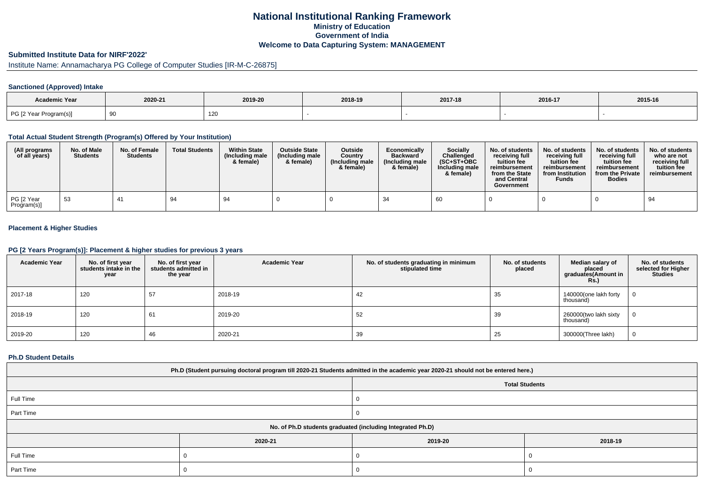## **National Institutional Ranking FrameworkMinistry of Education Government of IndiaWelcome to Data Capturing System: MANAGEMENT**

# **Submitted Institute Data for NIRF'2022'**

# Institute Name: Annamacharya PG College of Computer Studies [IR-M-C-26875]

### **Sanctioned (Approved) Intake**

| Academic Year          | 2020-21<br>2019-20 |     | 2018-19 | 2017-18 | 2016-17 | 2015-16 |
|------------------------|--------------------|-----|---------|---------|---------|---------|
| PG [2 Year Program(s)] |                    | 120 |         |         |         |         |

#### **Total Actual Student Strength (Program(s) Offered by Your Institution)**

| (All programs<br>of all years) | No. of Male<br><b>Students</b> | No. of Female<br><b>Students</b> | <b>Total Students</b> | <b>Within State</b><br>(Including male<br>& female) | <b>Outside State</b><br>(Including male)<br>& female) | <b>Outside</b><br>Country<br>(Including male<br>& female) | Economically<br><b>Backward</b><br>(Including male<br>& female) | <b>Socially</b><br>Challenged<br>$(SC+ST+OBC)$<br>Including male<br>& female) | No. of students<br>receivina full<br>tuition fee<br>reimbursement<br>from the State<br>and Central<br>Government | No. of students<br>receiving full<br>tuition fee<br>reimbursement<br>from Institution<br><b>Funds</b> | No. of students<br>receiving full<br>tuition fee<br>reimbursement<br>from the Private<br><b>Bodies</b> | No. of students<br>who are not<br>receiving full<br>tuition fee<br>reimbursement |
|--------------------------------|--------------------------------|----------------------------------|-----------------------|-----------------------------------------------------|-------------------------------------------------------|-----------------------------------------------------------|-----------------------------------------------------------------|-------------------------------------------------------------------------------|------------------------------------------------------------------------------------------------------------------|-------------------------------------------------------------------------------------------------------|--------------------------------------------------------------------------------------------------------|----------------------------------------------------------------------------------|
| PG [2 Year<br>Program(s)]      | -53                            | 4 <sup>1</sup>                   | 94                    | 94                                                  |                                                       |                                                           |                                                                 | 60                                                                            |                                                                                                                  |                                                                                                       |                                                                                                        | 94                                                                               |

### **Placement & Higher Studies**

#### **PG [2 Years Program(s)]: Placement & higher studies for previous 3 years**

| <b>Academic Year</b> | No. of first year<br>students intake in the<br>year | No. of first vear<br>students admitted in<br>the year | <b>Academic Year</b> | No. of students graduating in minimum<br>stipulated time | No. of students<br>placed | Median salary of<br>placed<br>graduates(Amount in<br>Rs.) | No. of students<br>selected for Higher<br><b>Studies</b> |
|----------------------|-----------------------------------------------------|-------------------------------------------------------|----------------------|----------------------------------------------------------|---------------------------|-----------------------------------------------------------|----------------------------------------------------------|
| 2017-18              | 120                                                 | 57                                                    | 2018-19              | 42                                                       | 35                        | 140000(one lakh forty<br>thousand)                        | $\Omega$                                                 |
| 2018-19              | 120                                                 | 61                                                    | 2019-20              | 52                                                       | 39                        | 260000(two lakh sixty<br>thousand)                        | 0                                                        |
| 2019-20              | 120                                                 | 46                                                    | 2020-21              | 39                                                       | 25                        | 300000(Three lakh)                                        | 0                                                        |

#### **Ph.D Student Details**

| Ph.D (Student pursuing doctoral program till 2020-21 Students admitted in the academic year 2020-21 should not be entered here.) |                       |         |         |  |  |  |
|----------------------------------------------------------------------------------------------------------------------------------|-----------------------|---------|---------|--|--|--|
|                                                                                                                                  | <b>Total Students</b> |         |         |  |  |  |
| Full Time                                                                                                                        |                       |         |         |  |  |  |
| Part Time                                                                                                                        |                       |         |         |  |  |  |
| No. of Ph.D students graduated (including Integrated Ph.D)                                                                       |                       |         |         |  |  |  |
|                                                                                                                                  | 2020-21               | 2019-20 | 2018-19 |  |  |  |
| Full Time                                                                                                                        |                       |         |         |  |  |  |
| Part Time                                                                                                                        |                       |         |         |  |  |  |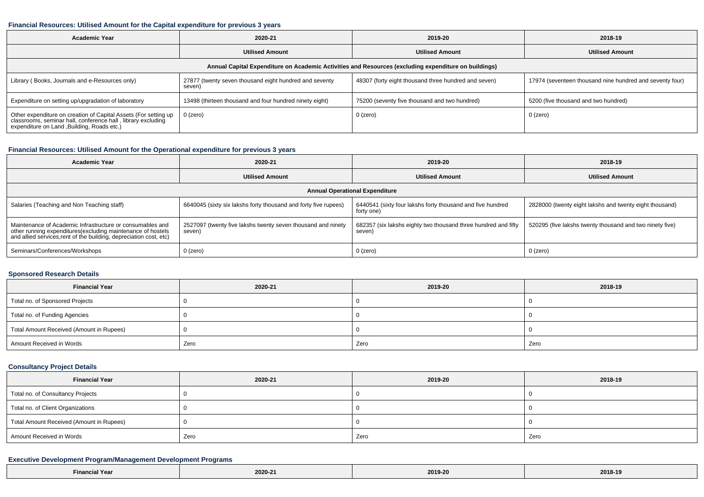#### **Financial Resources: Utilised Amount for the Capital expenditure for previous 3 years**

| Academic Year                                                                                                                                                                  | 2020-21                                                          | 2019-20                                              | 2018-19                                                  |  |  |  |  |  |
|--------------------------------------------------------------------------------------------------------------------------------------------------------------------------------|------------------------------------------------------------------|------------------------------------------------------|----------------------------------------------------------|--|--|--|--|--|
|                                                                                                                                                                                | <b>Utilised Amount</b>                                           | <b>Utilised Amount</b>                               | <b>Utilised Amount</b>                                   |  |  |  |  |  |
| Annual Capital Expenditure on Academic Activities and Resources (excluding expenditure on buildings)                                                                           |                                                                  |                                                      |                                                          |  |  |  |  |  |
| Library (Books, Journals and e-Resources only)                                                                                                                                 | 27877 (twenty seven thousand eight hundred and seventy<br>seven) | 48307 (forty eight thousand three hundred and seven) | 17974 (seventeen thousand nine hundred and seventy four) |  |  |  |  |  |
| Expenditure on setting up/upgradation of laboratory                                                                                                                            | 13498 (thirteen thousand and four hundred ninety eight)          | 75200 (seventy five thousand and two hundred)        | 5200 (five thousand and two hundred)                     |  |  |  |  |  |
| Other expenditure on creation of Capital Assets (For setting up<br>classrooms, seminar hall, conference hall, library excluding<br>expenditure on Land , Building, Roads etc.) | 0 (zero)                                                         | 0 (zero)                                             | 0 (zero)                                                 |  |  |  |  |  |

## **Financial Resources: Utilised Amount for the Operational expenditure for previous 3 years**

| <b>Academic Year</b>                                                                                                                                                                            | 2020-21                                                                | 2019-20                                                                  | 2018-19                                                  |  |  |  |  |  |
|-------------------------------------------------------------------------------------------------------------------------------------------------------------------------------------------------|------------------------------------------------------------------------|--------------------------------------------------------------------------|----------------------------------------------------------|--|--|--|--|--|
|                                                                                                                                                                                                 | <b>Utilised Amount</b>                                                 | <b>Utilised Amount</b>                                                   | <b>Utilised Amount</b>                                   |  |  |  |  |  |
| <b>Annual Operational Expenditure</b>                                                                                                                                                           |                                                                        |                                                                          |                                                          |  |  |  |  |  |
| Salaries (Teaching and Non Teaching staff)                                                                                                                                                      | 6640045 (sixty six lakshs forty thousand and forty five rupees)        | 6440541 (sixty four lakshs forty thousand and five hundred<br>forty one) | 2828000 (twenty eight lakshs and twenty eight thousand)  |  |  |  |  |  |
| Maintenance of Academic Infrastructure or consumables and<br>other running expenditures (excluding maintenance of hostels<br>and allied services, rent of the building, depreciation cost, etc) | 2527097 (twenty five lakshs twenty seven thousand and ninety<br>seven) | 682357 (six lakshs eighty two thousand three hundred and fifty<br>seven) | 520295 (five lakshs twenty thousand and two ninety five) |  |  |  |  |  |
| Seminars/Conferences/Workshops                                                                                                                                                                  | $0$ (zero)                                                             | 0 (zero)                                                                 | 0 (zero)                                                 |  |  |  |  |  |

### **Sponsored Research Details**

| <b>Financial Year</b>                    | 2020-21 | 2019-20 | 2018-19 |
|------------------------------------------|---------|---------|---------|
| Total no. of Sponsored Projects          |         |         |         |
| Total no. of Funding Agencies            |         |         |         |
| Total Amount Received (Amount in Rupees) |         |         |         |
| Amount Received in Words                 | Zero    | Zero    | Zero    |

### **Consultancy Project Details**

| <b>Financial Year</b>                    | 2020-21 | 2019-20 | 2018-19 |
|------------------------------------------|---------|---------|---------|
| Total no. of Consultancy Projects        |         |         |         |
| Total no. of Client Organizations        |         |         |         |
| Total Amount Received (Amount in Rupees) |         |         |         |
| Amount Received in Words                 | Zero    | Zero    | Zero    |

### **Executive Development Program/Management Development Programs**

| $-$<br>Year | 2020-21 | 2019-20 | 2018-19 |
|-------------|---------|---------|---------|
|-------------|---------|---------|---------|